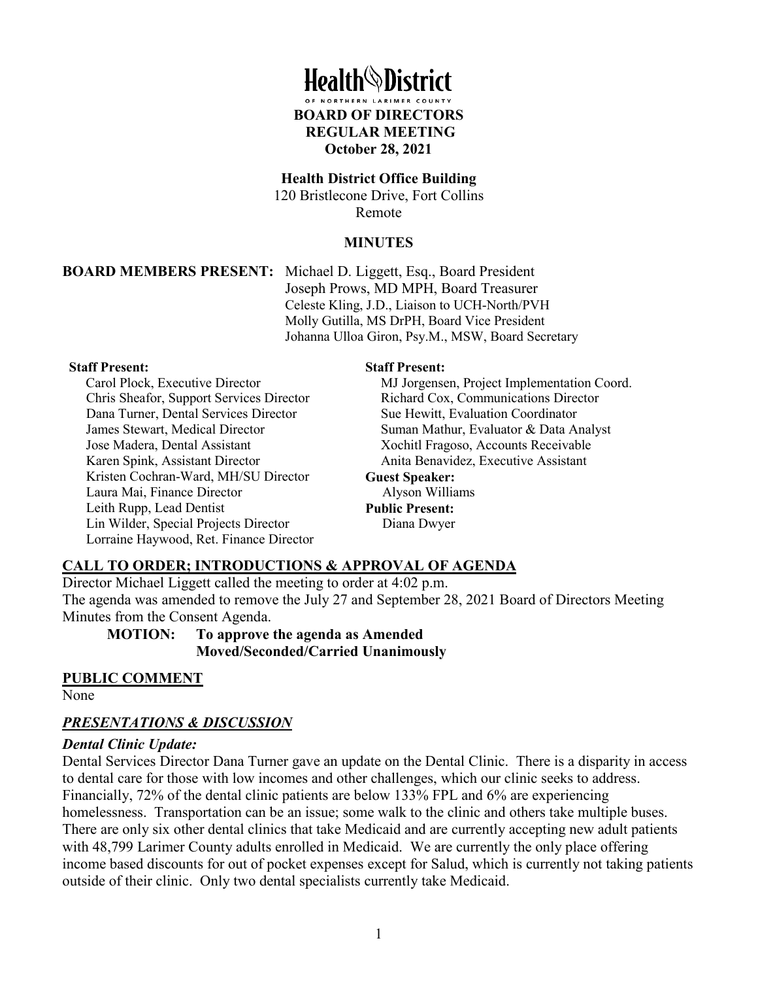# **Health**<sup>\</sup>District

**BOARD OF DIRECTORS REGULAR MEETING October 28, 2021**

#### **Health District Office Building**

120 Bristlecone Drive, Fort Collins Remote

#### **MINUTES**

**BOARD MEMBERS PRESENT:** Michael D. Liggett, Esq., Board President Joseph Prows, MD MPH, Board Treasurer Celeste Kling, J.D., Liaison to UCH-North/PVH Molly Gutilla, MS DrPH, Board Vice President Johanna Ulloa Giron, Psy.M., MSW, Board Secretary

#### **Staff Present:**

Carol Plock, Executive Director Chris Sheafor, Support Services Director Dana Turner, Dental Services Director James Stewart, Medical Director Jose Madera, Dental Assistant Karen Spink, Assistant Director Kristen Cochran-Ward, MH/SU Director Laura Mai, Finance Director Leith Rupp, Lead Dentist Lin Wilder, Special Projects Director Lorraine Haywood, Ret. Finance Director

#### **Staff Present:**

MJ Jorgensen, Project Implementation Coord. Richard Cox, Communications Director Sue Hewitt, Evaluation Coordinator Suman Mathur, Evaluator & Data Analyst Xochitl Fragoso, Accounts Receivable Anita Benavidez, Executive Assistant **Guest Speaker:** Alyson Williams **Public Present:**

Diana Dwyer

#### **CALL TO ORDER; INTRODUCTIONS & APPROVAL OF AGENDA**

Director Michael Liggett called the meeting to order at 4:02 p.m. The agenda was amended to remove the July 27 and September 28, 2021 Board of Directors Meeting Minutes from the Consent Agenda.

**MOTION: To approve the agenda as Amended Moved/Seconded/Carried Unanimously**

#### **PUBLIC COMMENT**

None

#### *PRESENTATIONS & DISCUSSION*

#### *Dental Clinic Update:*

Dental Services Director Dana Turner gave an update on the Dental Clinic. There is a disparity in access to dental care for those with low incomes and other challenges, which our clinic seeks to address. Financially, 72% of the dental clinic patients are below 133% FPL and 6% are experiencing homelessness. Transportation can be an issue; some walk to the clinic and others take multiple buses. There are only six other dental clinics that take Medicaid and are currently accepting new adult patients with 48,799 Larimer County adults enrolled in Medicaid. We are currently the only place offering income based discounts for out of pocket expenses except for Salud, which is currently not taking patients outside of their clinic. Only two dental specialists currently take Medicaid.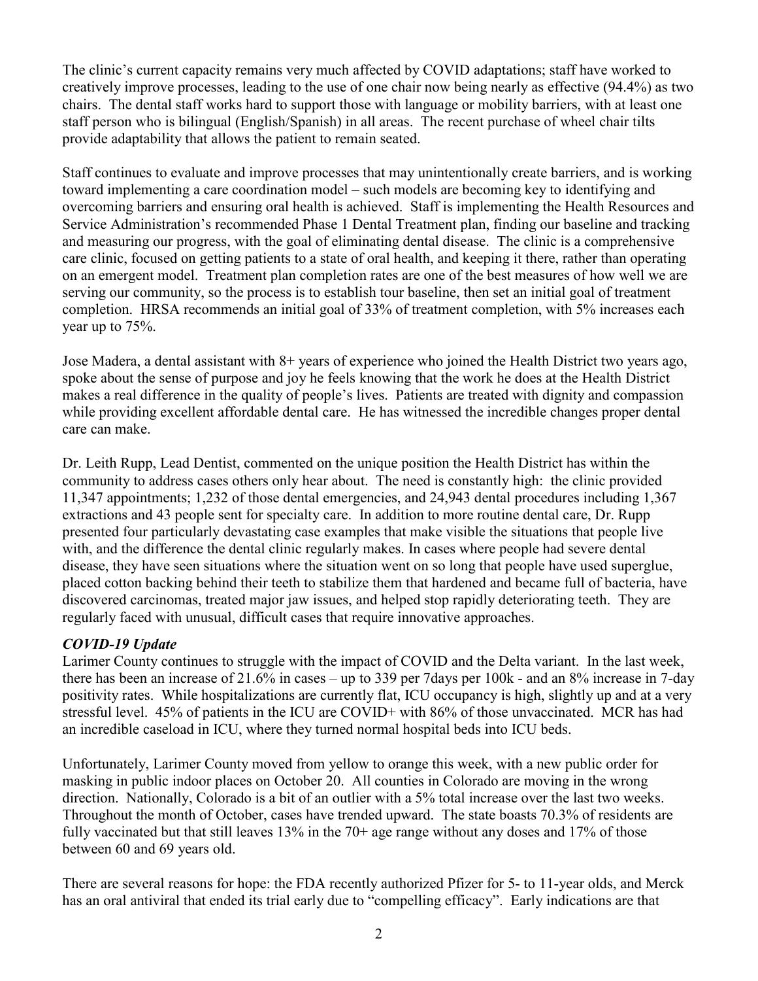The clinic's current capacity remains very much affected by COVID adaptations; staff have worked to creatively improve processes, leading to the use of one chair now being nearly as effective (94.4%) as two chairs. The dental staff works hard to support those with language or mobility barriers, with at least one staff person who is bilingual (English/Spanish) in all areas. The recent purchase of wheel chair tilts provide adaptability that allows the patient to remain seated.

Staff continues to evaluate and improve processes that may unintentionally create barriers, and is working toward implementing a care coordination model – such models are becoming key to identifying and overcoming barriers and ensuring oral health is achieved. Staff is implementing the Health Resources and Service Administration's recommended Phase 1 Dental Treatment plan, finding our baseline and tracking and measuring our progress, with the goal of eliminating dental disease. The clinic is a comprehensive care clinic, focused on getting patients to a state of oral health, and keeping it there, rather than operating on an emergent model. Treatment plan completion rates are one of the best measures of how well we are serving our community, so the process is to establish tour baseline, then set an initial goal of treatment completion. HRSA recommends an initial goal of 33% of treatment completion, with 5% increases each year up to 75%.

Jose Madera, a dental assistant with 8+ years of experience who joined the Health District two years ago, spoke about the sense of purpose and joy he feels knowing that the work he does at the Health District makes a real difference in the quality of people's lives. Patients are treated with dignity and compassion while providing excellent affordable dental care. He has witnessed the incredible changes proper dental care can make.

Dr. Leith Rupp, Lead Dentist, commented on the unique position the Health District has within the community to address cases others only hear about. The need is constantly high: the clinic provided 11,347 appointments; 1,232 of those dental emergencies, and 24,943 dental procedures including 1,367 extractions and 43 people sent for specialty care. In addition to more routine dental care, Dr. Rupp presented four particularly devastating case examples that make visible the situations that people live with, and the difference the dental clinic regularly makes. In cases where people had severe dental disease, they have seen situations where the situation went on so long that people have used superglue, placed cotton backing behind their teeth to stabilize them that hardened and became full of bacteria, have discovered carcinomas, treated major jaw issues, and helped stop rapidly deteriorating teeth. They are regularly faced with unusual, difficult cases that require innovative approaches.

# *COVID-19 Update*

Larimer County continues to struggle with the impact of COVID and the Delta variant. In the last week, there has been an increase of 21.6% in cases – up to 339 per 7days per 100k - and an 8% increase in 7-day positivity rates. While hospitalizations are currently flat, ICU occupancy is high, slightly up and at a very stressful level. 45% of patients in the ICU are COVID+ with 86% of those unvaccinated. MCR has had an incredible caseload in ICU, where they turned normal hospital beds into ICU beds.

Unfortunately, Larimer County moved from yellow to orange this week, with a new public order for masking in public indoor places on October 20. All counties in Colorado are moving in the wrong direction. Nationally, Colorado is a bit of an outlier with a 5% total increase over the last two weeks. Throughout the month of October, cases have trended upward. The state boasts 70.3% of residents are fully vaccinated but that still leaves 13% in the 70+ age range without any doses and 17% of those between 60 and 69 years old.

There are several reasons for hope: the FDA recently authorized Pfizer for 5- to 11-year olds, and Merck has an oral antiviral that ended its trial early due to "compelling efficacy". Early indications are that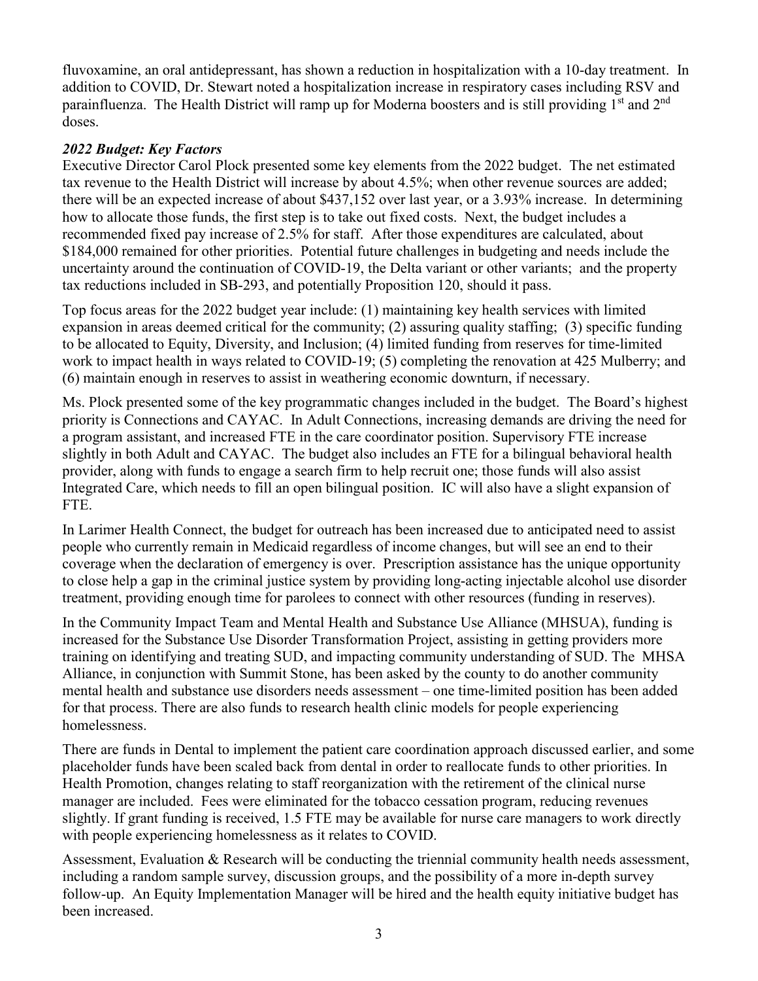fluvoxamine, an oral antidepressant, has shown a reduction in hospitalization with a 10-day treatment. In addition to COVID, Dr. Stewart noted a hospitalization increase in respiratory cases including RSV and parainfluenza. The Health District will ramp up for Moderna boosters and is still providing  $1<sup>st</sup>$  and  $2<sup>nd</sup>$ doses.

### *2022 Budget: Key Factors*

Executive Director Carol Plock presented some key elements from the 2022 budget. The net estimated tax revenue to the Health District will increase by about 4.5%; when other revenue sources are added; there will be an expected increase of about \$437,152 over last year, or a 3.93% increase. In determining how to allocate those funds, the first step is to take out fixed costs. Next, the budget includes a recommended fixed pay increase of 2.5% for staff. After those expenditures are calculated, about \$184,000 remained for other priorities. Potential future challenges in budgeting and needs include the uncertainty around the continuation of COVID-19, the Delta variant or other variants; and the property tax reductions included in SB-293, and potentially Proposition 120, should it pass.

Top focus areas for the 2022 budget year include: (1) maintaining key health services with limited expansion in areas deemed critical for the community; (2) assuring quality staffing; (3) specific funding to be allocated to Equity, Diversity, and Inclusion; (4) limited funding from reserves for time-limited work to impact health in ways related to COVID-19; (5) completing the renovation at 425 Mulberry; and (6) maintain enough in reserves to assist in weathering economic downturn, if necessary.

Ms. Plock presented some of the key programmatic changes included in the budget. The Board's highest priority is Connections and CAYAC. In Adult Connections, increasing demands are driving the need for a program assistant, and increased FTE in the care coordinator position. Supervisory FTE increase slightly in both Adult and CAYAC. The budget also includes an FTE for a bilingual behavioral health provider, along with funds to engage a search firm to help recruit one; those funds will also assist Integrated Care, which needs to fill an open bilingual position. IC will also have a slight expansion of FTE.

In Larimer Health Connect, the budget for outreach has been increased due to anticipated need to assist people who currently remain in Medicaid regardless of income changes, but will see an end to their coverage when the declaration of emergency is over. Prescription assistance has the unique opportunity to close help a gap in the criminal justice system by providing long-acting injectable alcohol use disorder treatment, providing enough time for parolees to connect with other resources (funding in reserves).

In the Community Impact Team and Mental Health and Substance Use Alliance (MHSUA), funding is increased for the Substance Use Disorder Transformation Project, assisting in getting providers more training on identifying and treating SUD, and impacting community understanding of SUD. The MHSA Alliance, in conjunction with Summit Stone, has been asked by the county to do another community mental health and substance use disorders needs assessment – one time-limited position has been added for that process. There are also funds to research health clinic models for people experiencing homelessness.

There are funds in Dental to implement the patient care coordination approach discussed earlier, and some placeholder funds have been scaled back from dental in order to reallocate funds to other priorities. In Health Promotion, changes relating to staff reorganization with the retirement of the clinical nurse manager are included. Fees were eliminated for the tobacco cessation program, reducing revenues slightly. If grant funding is received, 1.5 FTE may be available for nurse care managers to work directly with people experiencing homelessness as it relates to COVID.

Assessment, Evaluation & Research will be conducting the triennial community health needs assessment, including a random sample survey, discussion groups, and the possibility of a more in-depth survey follow-up. An Equity Implementation Manager will be hired and the health equity initiative budget has been increased.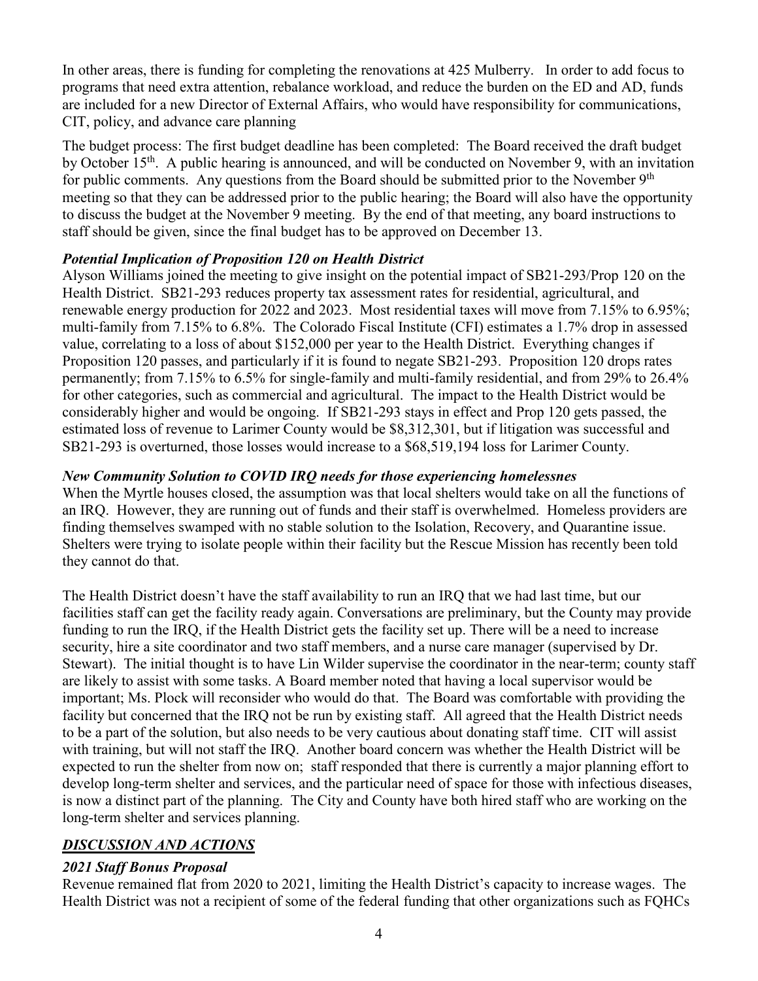In other areas, there is funding for completing the renovations at 425 Mulberry. In order to add focus to programs that need extra attention, rebalance workload, and reduce the burden on the ED and AD, funds are included for a new Director of External Affairs, who would have responsibility for communications, CIT, policy, and advance care planning

The budget process: The first budget deadline has been completed: The Board received the draft budget by October 15<sup>th</sup>. A public hearing is announced, and will be conducted on November 9, with an invitation for public comments. Any questions from the Board should be submitted prior to the November  $9<sup>th</sup>$ meeting so that they can be addressed prior to the public hearing; the Board will also have the opportunity to discuss the budget at the November 9 meeting. By the end of that meeting, any board instructions to staff should be given, since the final budget has to be approved on December 13.

# *Potential Implication of Proposition 120 on Health District*

Alyson Williams joined the meeting to give insight on the potential impact of SB21-293/Prop 120 on the Health District. SB21-293 reduces property tax assessment rates for residential, agricultural, and renewable energy production for 2022 and 2023. Most residential taxes will move from 7.15% to 6.95%; multi-family from 7.15% to 6.8%. The Colorado Fiscal Institute (CFI) estimates a 1.7% drop in assessed value, correlating to a loss of about \$152,000 per year to the Health District. Everything changes if Proposition 120 passes, and particularly if it is found to negate SB21-293. Proposition 120 drops rates permanently; from 7.15% to 6.5% for single-family and multi-family residential, and from 29% to 26.4% for other categories, such as commercial and agricultural. The impact to the Health District would be considerably higher and would be ongoing. If SB21-293 stays in effect and Prop 120 gets passed, the estimated loss of revenue to Larimer County would be \$8,312,301, but if litigation was successful and SB21-293 is overturned, those losses would increase to a \$68,519,194 loss for Larimer County.

#### *New Community Solution to COVID IRQ needs for those experiencing homelessnes*

When the Myrtle houses closed, the assumption was that local shelters would take on all the functions of an IRQ. However, they are running out of funds and their staff is overwhelmed. Homeless providers are finding themselves swamped with no stable solution to the Isolation, Recovery, and Quarantine issue. Shelters were trying to isolate people within their facility but the Rescue Mission has recently been told they cannot do that.

The Health District doesn't have the staff availability to run an IRQ that we had last time, but our facilities staff can get the facility ready again. Conversations are preliminary, but the County may provide funding to run the IRQ, if the Health District gets the facility set up. There will be a need to increase security, hire a site coordinator and two staff members, and a nurse care manager (supervised by Dr. Stewart). The initial thought is to have Lin Wilder supervise the coordinator in the near-term; county staff are likely to assist with some tasks. A Board member noted that having a local supervisor would be important; Ms. Plock will reconsider who would do that. The Board was comfortable with providing the facility but concerned that the IRQ not be run by existing staff. All agreed that the Health District needs to be a part of the solution, but also needs to be very cautious about donating staff time. CIT will assist with training, but will not staff the IRQ. Another board concern was whether the Health District will be expected to run the shelter from now on; staff responded that there is currently a major planning effort to develop long-term shelter and services, and the particular need of space for those with infectious diseases, is now a distinct part of the planning. The City and County have both hired staff who are working on the long-term shelter and services planning.

# *DISCUSSION AND ACTIONS*

#### *2021 Staff Bonus Proposal*

Revenue remained flat from 2020 to 2021, limiting the Health District's capacity to increase wages. The Health District was not a recipient of some of the federal funding that other organizations such as FQHCs